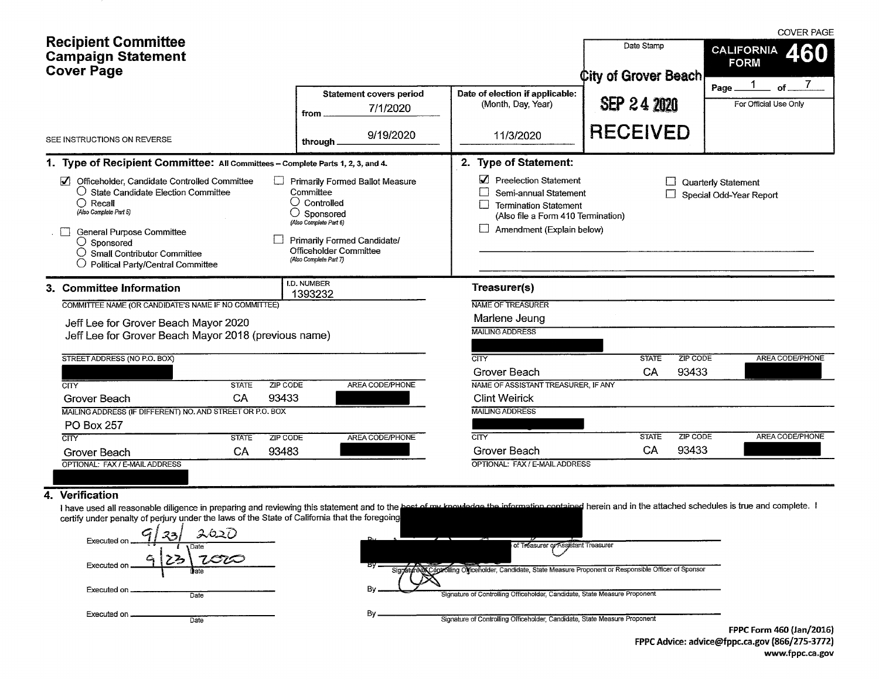|                                                                                                                                                                                                                                                                                                                                                                                                                                                                                  |                                                                                 |              |                                                                                                                                                                                                     |                        | <b>COVER PAGE</b>                   |                                           |                                         |  |
|----------------------------------------------------------------------------------------------------------------------------------------------------------------------------------------------------------------------------------------------------------------------------------------------------------------------------------------------------------------------------------------------------------------------------------------------------------------------------------|---------------------------------------------------------------------------------|--------------|-----------------------------------------------------------------------------------------------------------------------------------------------------------------------------------------------------|------------------------|-------------------------------------|-------------------------------------------|-----------------------------------------|--|
|                                                                                                                                                                                                                                                                                                                                                                                                                                                                                  | <b>Recipient Committee</b><br><b>Campaign Statement</b><br><b>Cover Page</b>    |              |                                                                                                                                                                                                     |                        |                                     | Date Stamp<br><b>City of Grover Beach</b> | <b>CALIFORNIA</b><br>460<br><b>FORM</b> |  |
|                                                                                                                                                                                                                                                                                                                                                                                                                                                                                  |                                                                                 |              | Date of election if applicable:<br><b>Statement covers period</b><br>(Month, Day, Year)<br>7/1/2020<br>from.                                                                                        |                        | <b>SEP 24 2020</b>                  | Ωf<br>Page.<br>For Official Use Only      |                                         |  |
|                                                                                                                                                                                                                                                                                                                                                                                                                                                                                  | SEE INSTRUCTIONS ON REVERSE                                                     |              | through.                                                                                                                                                                                            | 9/19/2020              | 11/3/2020                           | <b>RECEIVED</b>                           |                                         |  |
|                                                                                                                                                                                                                                                                                                                                                                                                                                                                                  | 1. Type of Recipient Committee: All Committees - Complete Parts 1, 2, 3, and 4. |              |                                                                                                                                                                                                     |                        | 2. Type of Statement:               |                                           |                                         |  |
| Officeholder, Candidate Controlled Committee<br>Primarily Formed Ballot Measure<br>○ State Candidate Election Committee<br>Committee<br>$\bigcirc$ Controlled<br>$\bigcap$ Recall<br>(Also Complete Part 5)<br>Sponsored<br>(Also Complete Part 6)<br><b>General Purpose Committee</b><br>Primarily Formed Candidate/<br>$\bigcirc$ Sponsored<br>Officeholder Committee<br>$\bigcirc$ Small Contributor Committee<br>(Also Complete Part 7)<br>Political Party/Central Committee |                                                                                 |              | Preelection Statement<br>Quarterly Statement<br>Semi-annual Statement<br>Special Odd-Year Report<br><b>Termination Statement</b><br>(Also file a Form 410 Termination)<br>Amendment (Explain below) |                        |                                     |                                           |                                         |  |
|                                                                                                                                                                                                                                                                                                                                                                                                                                                                                  | 3. Committee Information                                                        |              | <b>I.D. NUMBER</b><br>1393232                                                                                                                                                                       |                        | Treasurer(s)                        |                                           |                                         |  |
|                                                                                                                                                                                                                                                                                                                                                                                                                                                                                  | COMMITTEE NAME (OR CANDIDATE'S NAME IF NO COMMITTEE)                            |              |                                                                                                                                                                                                     |                        | NAME OF TREASURER                   |                                           |                                         |  |
|                                                                                                                                                                                                                                                                                                                                                                                                                                                                                  | Jeff Lee for Grover Beach Mayor 2020                                            |              |                                                                                                                                                                                                     |                        | Marlene Jeung                       |                                           |                                         |  |
|                                                                                                                                                                                                                                                                                                                                                                                                                                                                                  | Jeff Lee for Grover Beach Mayor 2018 (previous name)                            |              |                                                                                                                                                                                                     |                        | <b>MAILING ADDRESS</b>              |                                           |                                         |  |
|                                                                                                                                                                                                                                                                                                                                                                                                                                                                                  |                                                                                 |              |                                                                                                                                                                                                     |                        |                                     |                                           |                                         |  |
|                                                                                                                                                                                                                                                                                                                                                                                                                                                                                  | STREET ADDRESS (NO P.O. BOX)                                                    |              |                                                                                                                                                                                                     |                        | CITY                                | ZIP CODE<br><b>STATE</b>                  | AREA CODE/PHONE                         |  |
|                                                                                                                                                                                                                                                                                                                                                                                                                                                                                  |                                                                                 |              |                                                                                                                                                                                                     |                        | Grover Beach                        | CA<br>93433                               |                                         |  |
|                                                                                                                                                                                                                                                                                                                                                                                                                                                                                  | CITY                                                                            | <b>STATE</b> | ZIP CODE                                                                                                                                                                                            | AREA CODE/PHONE        | NAME OF ASSISTANT TREASURER, IF ANY |                                           |                                         |  |
| 93433<br>CA<br>Grover Beach<br>MAILING ADDRESS (IF DIFFERENT) NO. AND STREET OR P.O. BOX                                                                                                                                                                                                                                                                                                                                                                                         |                                                                                 |              |                                                                                                                                                                                                     |                        | <b>Clint Weirick</b>                |                                           |                                         |  |
|                                                                                                                                                                                                                                                                                                                                                                                                                                                                                  |                                                                                 |              |                                                                                                                                                                                                     |                        | <b>MAILING ADDRESS</b>              |                                           |                                         |  |
|                                                                                                                                                                                                                                                                                                                                                                                                                                                                                  | PO Box 257                                                                      |              |                                                                                                                                                                                                     |                        |                                     |                                           |                                         |  |
|                                                                                                                                                                                                                                                                                                                                                                                                                                                                                  | CTTY                                                                            | <b>STATE</b> | ZIP CODE                                                                                                                                                                                            | <b>AREA CODE/PHONE</b> | $\overline{\text{CITY}}$            | <b>STATE</b><br><b>ZIP CODE</b>           | <b>AREA CODE/PHONE</b>                  |  |
|                                                                                                                                                                                                                                                                                                                                                                                                                                                                                  | Grover Beach                                                                    | CA           | 93483                                                                                                                                                                                               |                        | Grover Beach                        | CA<br>93433                               |                                         |  |
|                                                                                                                                                                                                                                                                                                                                                                                                                                                                                  | OPTIONAL: FAX / E-MAIL ADDRESS                                                  |              |                                                                                                                                                                                                     |                        | OPTIONAL: FAX / E-MAIL ADDRESS      |                                           |                                         |  |

# 4. Verification

I have used all reasonable diligence in preparing and reviewing this statement and to the best of my knowledge the information contained herein and in the attached schedules is true and complete. I<br>certify under penalty of

| スロユン<br>22<br><b>Executed on</b><br>1 Date | n.,<br>of Treasurer or Assistant Treasurer                                                                              |                                          |
|--------------------------------------------|-------------------------------------------------------------------------------------------------------------------------|------------------------------------------|
| BTQ<br>Executed on<br>Date                 | ον<br>Signature of Sponsor Signature Officeholder, Candidate, State Measure Proponent or Responsible Officer of Sponsor |                                          |
| Executed on<br>Date                        | By<br>Signature of Controlling Officeholder, Candidate, State Measure Proponent                                         |                                          |
| Executed on.<br>Date                       | By<br>Signature of Controlling Officeholder, Candidate, State Measure Proponent                                         | $FDDCF_{\text{max}}$ $ACAH_{\text{max}}$ |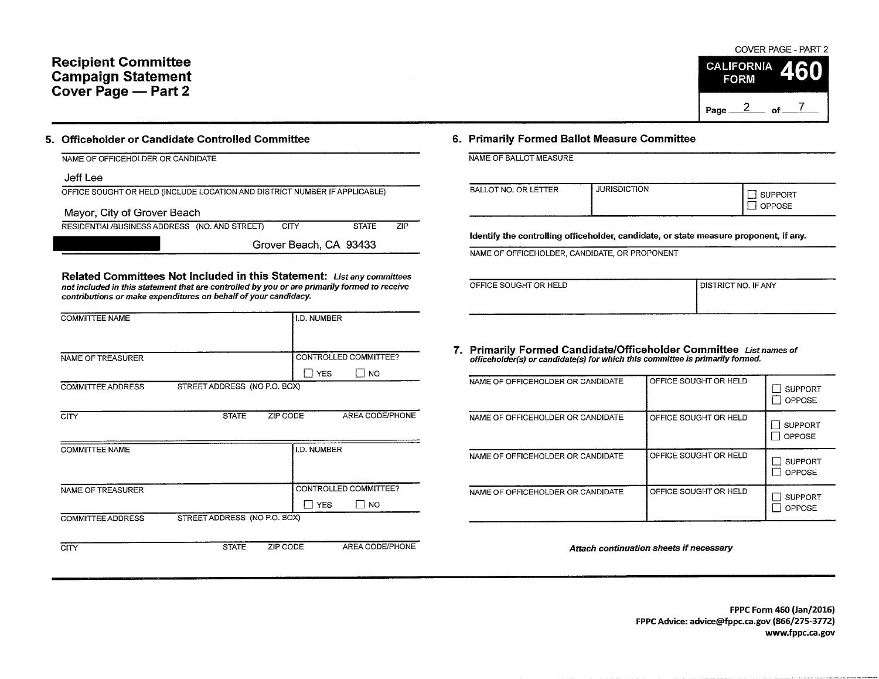# Recipient Committee Campaign Statement Cover Page - Part 2

# COVER PAGE - PART 2 **CALIFORNIA**

|      | FORM |    |  |  |  |
|------|------|----|--|--|--|
|      |      |    |  |  |  |
| Page |      | nf |  |  |  |

### 5. Officeholder or Candidate Controlled Committee

| NAME OF OFFICEHOLDER OR CANDIDATE                                          |
|----------------------------------------------------------------------------|
| Jeff Lee                                                                   |
| OFFICE SOUGHT OR HELD (INCLUDE LOCATION AND DISTRICT NUMBER IF APPLICABLE) |
| Mayor, City of Grover Beach                                                |

RESIDENTIAL/BUSINESS ADDRESS (NO. AND STREET) CITY STATE ZIP

Grover Beach, CA 93433

Related Committees Not Included in this Statement: List any committees not included in this statement that are controlled by you or are primarily formed to receive contributions or make expenditures on behalf of your candidacy.

| <b>COMMITTEE NAME</b> |                              | I.D. NUMBER                 |
|-----------------------|------------------------------|-----------------------------|
|                       |                              |                             |
|                       |                              |                             |
| NAME OF TREASURER     |                              | CONTROLLED COMMITTEE?       |
|                       |                              | ∏ YES<br>$\blacksquare$ NO  |
| COMMITTEE ADDRESS     | STREET ADDRESS (NO P.O. BOX) |                             |
|                       |                              |                             |
| <b>CITY</b>           | <b>STATE</b>                 | ZIP CODE<br>AREA CODE/PHONE |
|                       |                              |                             |
| <b>COMMITTEE NAME</b> |                              | I.D. NUMBER                 |
|                       |                              |                             |
|                       |                              |                             |
| NAME OF TREASURER     |                              | CONTROLLED COMMITTEE?       |
|                       |                              | $\Box$ YES<br>I I NO        |
| COMMITTEE ADDRESS     | STREET ADDRESS (NO P.O. BOX) |                             |
|                       |                              |                             |
|                       |                              |                             |

**CITY** 

STATE ZIP CODE AREA CODE/PHONE

## 6. Primarily Formed Ballot Measure Committee

NAME OF BALLOT MEASIIRE

| TER<br><b>BALLOT NO. OR LETT</b> | RISDICTION<br>JURISDIC <sup>1</sup> | JPPORT<br>OSE<br>ັ |
|----------------------------------|-------------------------------------|--------------------|
|----------------------------------|-------------------------------------|--------------------|

Identify the controlling officeholder, candidate, or state measure proponent, if any.

NAME OF OFFICEHOLDER, CANDIDATE, OR PROPONENT

| OFFICE SOUGHT OR HELD |  |
|-----------------------|--|
|                       |  |
|                       |  |
|                       |  |

```
DISTRICT NO. IF ANY
```
7. Primarily Formed Candidate/Officeholder Committee gist names or officeholder(s) or candidate(s) for which this committee is primarily fomed.

| NAME OF OFFICEHOLDER OR CANDIDATE | OFFICE SOUGHT OR HELD | <b>SUPPORT</b>           |
|-----------------------------------|-----------------------|--------------------------|
|                                   |                       | OPPOSE                   |
| NAME OF OFFICEHOLDER OR CANDIDATE | OFFICE SOUGHT OR HELD | SUPPORT<br>OPPOSE        |
| NAME OF OFFICEHOLDER OR CANDIDATE | OFFICE SOUGHT OR HELD | <b>SUPPORT</b><br>OPPOSE |
| NAME OF OFFICEHOLDER OR CANDIDATE | OFFICE SOUGHT OR HELD | <b>SUPPORT</b><br>OPPOSE |

Attach continuation sheets if necessary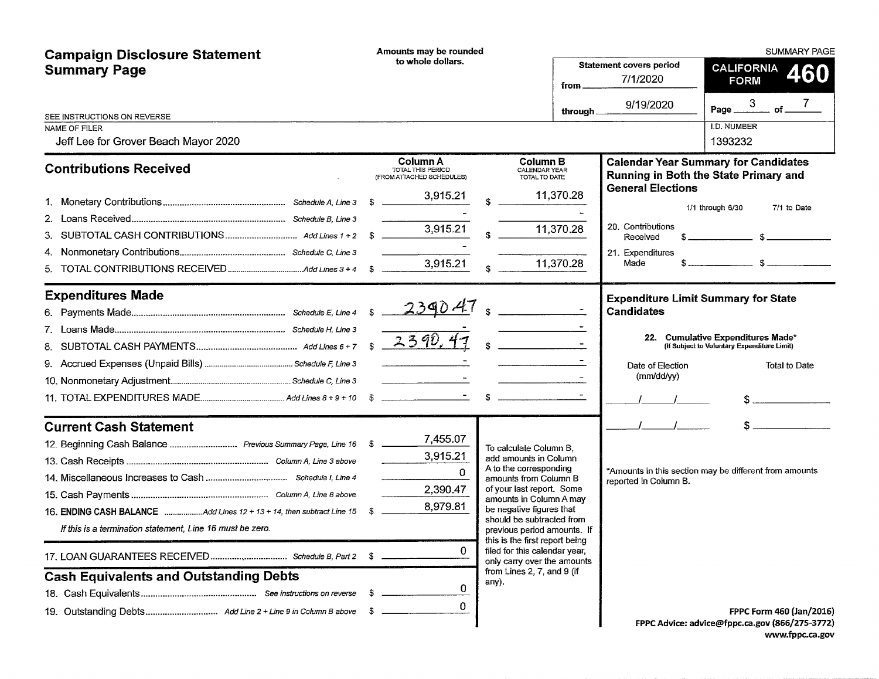| <b>Campaign Disclosure Statement</b>                                                                                                                                                                                                                                                  | Amounts may be rounded                                                  |                                                                                                                                                                                                                                                                                                                                                                                             | <b>SUMMARY PAGE</b>                                                                   |                                                                                             |  |  |
|---------------------------------------------------------------------------------------------------------------------------------------------------------------------------------------------------------------------------------------------------------------------------------------|-------------------------------------------------------------------------|---------------------------------------------------------------------------------------------------------------------------------------------------------------------------------------------------------------------------------------------------------------------------------------------------------------------------------------------------------------------------------------------|---------------------------------------------------------------------------------------|---------------------------------------------------------------------------------------------|--|--|
| <b>Summary Page</b>                                                                                                                                                                                                                                                                   | to whole dollars.                                                       | from.                                                                                                                                                                                                                                                                                                                                                                                       | <b>Statement covers period</b><br>7/1/2020                                            | <b>CALIFORNIA</b><br><b>FORM</b>                                                            |  |  |
|                                                                                                                                                                                                                                                                                       |                                                                         | through.                                                                                                                                                                                                                                                                                                                                                                                    | 9/19/2020                                                                             | of<br>Page $-$                                                                              |  |  |
| SEE INSTRUCTIONS ON REVERSE<br>NAME OF FILER<br>Jeff Lee for Grover Beach Mayor 2020                                                                                                                                                                                                  |                                                                         |                                                                                                                                                                                                                                                                                                                                                                                             |                                                                                       | I.D. NUMBER<br>1393232                                                                      |  |  |
| <b>Contributions Received</b>                                                                                                                                                                                                                                                         | Column A<br>TOTAL THIS PERIOD<br>(FROM ATTACHED SCHEDULES)              | <b>Column B</b><br>CALENDAR YEAR<br>TOTAL TO DATE                                                                                                                                                                                                                                                                                                                                           |                                                                                       | <b>Calendar Year Summary for Candidates</b><br>Running in Both the State Primary and        |  |  |
| 4.<br>5.                                                                                                                                                                                                                                                                              | 3,915.21<br>- \$<br>3,915.21<br>3,915.21                                | 11,370.28<br>11,370.28<br>11,370.28                                                                                                                                                                                                                                                                                                                                                         | <b>General Elections</b><br>20. Contributions<br>Received<br>21. Expenditures<br>Made | 7/1 to Date<br>$1/1$ through $6/30$<br>$\frac{1}{\sqrt{1-\frac{1}{2}}}\sqrt{1-\frac{1}{2}}$ |  |  |
| <b>Expenditures Made</b>                                                                                                                                                                                                                                                              |                                                                         | $\label{eq:2.1} \mathcal{L}_{\mathcal{A}}(x) = \mathcal{L}_{\mathcal{A}}(x) + \mathcal{L}_{\mathcal{A}}(x) + \mathcal{L}_{\mathcal{A}}(x) + \mathcal{L}_{\mathcal{A}}(x)$                                                                                                                                                                                                                   | <b>Candidates</b>                                                                     | <b>Expenditure Limit Summary for State</b>                                                  |  |  |
| 8.                                                                                                                                                                                                                                                                                    |                                                                         |                                                                                                                                                                                                                                                                                                                                                                                             |                                                                                       | 22. Cumulative Expenditures Made*<br>(If Subject to Voluntary Expenditure Limit)            |  |  |
|                                                                                                                                                                                                                                                                                       |                                                                         |                                                                                                                                                                                                                                                                                                                                                                                             | Date of Election<br>(mm/dd/yy)                                                        | Total to Date                                                                               |  |  |
|                                                                                                                                                                                                                                                                                       |                                                                         | $\sim$                                                                                                                                                                                                                                                                                                                                                                                      |                                                                                       |                                                                                             |  |  |
| <b>Current Cash Statement</b><br>12. Beginning Cash Balance  Previous Summary Page, Line 16 \$<br>16. ENDING CASH BALANCE Add Lines 12 + 13 + 14, then subtract Line 15<br>If this is a termination statement, Line 16 must be zero.<br><b>Cash Equivalents and Outstanding Debts</b> | 7,455.07<br>3,915.21<br>$\Omega$<br>2,390.47<br>8,979.81<br>0<br>0<br>0 | To calculate Column B.<br>add amounts in Column<br>A to the corresponding<br>amounts from Column B<br>of your last report. Some<br>amounts in Column A may<br>be negative figures that<br>should be subtracted from<br>previous period amounts. If<br>this is the first report being<br>filed for this calendar year,<br>only carry over the amounts<br>from Lines 2, 7, and 9 (if<br>any). | reported in Column B.                                                                 | *Amounts in this section may be different from amounts<br>FPPC Form 460 (Jan/2016)          |  |  |
|                                                                                                                                                                                                                                                                                       |                                                                         |                                                                                                                                                                                                                                                                                                                                                                                             |                                                                                       | FPPC Advice: advice@fppc.ca.gov (866/275-3772)                                              |  |  |

www.fppc.ca.gov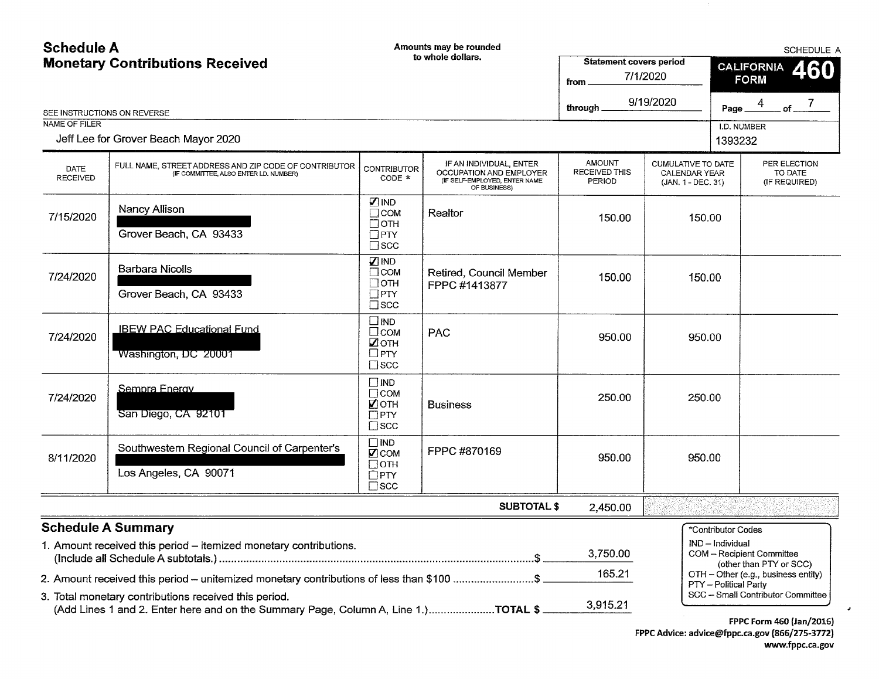#### Schedule A Amounts may be rounded **SCHEDULE A** to whole dollars. Statement covers period Monetary Contributions Received **CALIFORNIA** 460 from 7/1/2020 **FORM** through 9/19/2020  $\overline{7}$ 4 Page.  $of$ SEE INSTRuCTIONS ON REVERSE NAME OF FILER **I.D. NUMBER** Jeff Lee for Grover Beach Mayor 2020 1393232 CUMLILATIVE TO DATE IF AN INDIVIDUAL, ENTER **AMOUNT** PER ELECTION FULL NAME, STREET ADDRESS AND ZIP CODE OF CONTRIBUTOR CONTRIBUTOR (IF COMMITTEE, ALSO ENTER I.D. NUMBER) DATE RECEIVED THIS (IF COMMITTEE, ALSO ENTER I.D. NUMBER) OCCUPATION AND EMPLOYER CALENDAR YEAR TO DATE RECEIVED (IF SELF-EMPLOYED, ENTER NAME PERIOD (JAN. 1- DEC. 31) (IF REQUIRED) OF BUSINESS) [ IND Nancy Allison  $\Box$  COM Realtor 7/15/2020 150.00 150.00  $\Box$  OTH Grover Beach, CA 93433  $\Box$  PTY  $\Box$  SCC § IND Barbara Nicolls  $\Box$  COM Retired, Council Member 7/24/2020 150.00 150.00  $\Box$  OTH FPPC #1413877 Grover Beach, CA 93433  $\Box$ PTY  $\square$  SCC € IND IBEW PAC Educational Fund  $\Box$  COM PAC 7/24/2020 950.00 950.00  $\Box$  OTH Washington, DC 20001  $\Box$ PTY  $\square$  SCC  $\Box$ IND Sempra Energy  $\Box$  COM 7/24/2020 250.00 250.00 **Z** OTH Business San Diego, CA 92101  $\Box$  PTY  $\Box$  SCC  $\Box$  IND Southwestern Regional Council of Carpenter's FPPC #870169  $\Box$  COM 8/11 /2020 950.00 950.00  $\Box$  OTH Los Angeles, CA 90071  $\Box$  PTY  $\Box$  SCC SUBTOTAL \$ 2,450.00 Schedule A Summary 'Contributor Codes IND - Individual 1. Amount received this period-itemized monetary contributions. 3,750.00 COM - Recipient Committee (Include all Schedule A subtotals.)...... (other than PTY or SCC) 165.21 OTH - Other (e.g., business entity) 2. Amount received this period - unitemized monetary contributions of less than \$100 .......................\$ PTY - Political Party SCC - Small Contributor Committee 3. Total monetary contributions received this period. 3,915.21 (Add Lines 'l and 2. Enter here and on the Summary Page, Column A, Line 1.)......................TOTAL \$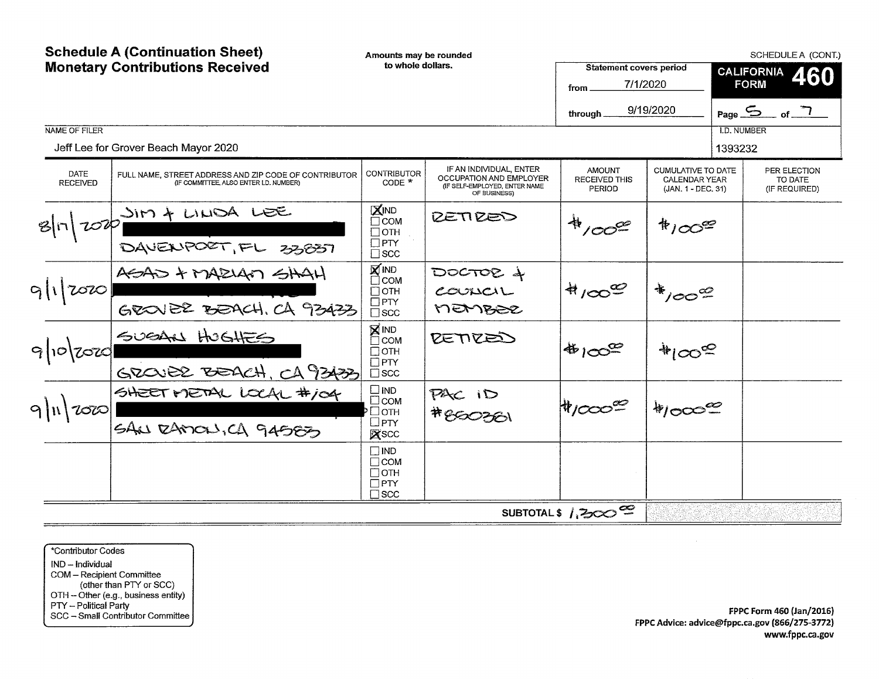|                                | <b>Schedule A (Continuation Sheet)</b><br><b>Monetary Contributions Received</b>                                                                 |                                                                            | Amounts may be rounded<br>to whole dollars.<br><b>Statement covers period</b>                       |                                                 |                                                                         |                               | SCHEDULE A (CONT.)<br><b>CALIFORNIA</b><br>460     |  |
|--------------------------------|--------------------------------------------------------------------------------------------------------------------------------------------------|----------------------------------------------------------------------------|-----------------------------------------------------------------------------------------------------|-------------------------------------------------|-------------------------------------------------------------------------|-------------------------------|----------------------------------------------------|--|
|                                |                                                                                                                                                  |                                                                            |                                                                                                     | 7/1/2020<br>from<br>through                     | 9/19/2020                                                               |                               | <b>FORM</b><br>Page $\frac{5}{2}$ of $\frac{7}{2}$ |  |
| NAME OF FILER                  | Jeff Lee for Grover Beach Mayor 2020                                                                                                             |                                                                            |                                                                                                     |                                                 |                                                                         | <b>I.D. NUMBER</b><br>1393232 |                                                    |  |
| <b>DATE</b><br><b>RECEIVED</b> | FULL NAME, STREET ADDRESS AND ZIP CODE OF CONTRIBUTOR<br>(IF COMMITTEE, ALSO ENTER I,D. NUMBER)                                                  | <b>CONTRIBUTOR</b><br>$CODE *$                                             | IF AN INDIVIDUAL, ENTER<br>OCCUPATION AND EMPLOYER<br>(IF SELF-EMPLOYED, ENTER NAME<br>OF BUSINESS) | <b>AMOUNT</b><br><b>RECEIVED THIS</b><br>PERIOD | <b>CUMULATIVE TO DATE</b><br><b>CALENDAR YEAR</b><br>(JAN. 1 - DEC. 31) |                               | PER ELECTION<br>TO DATE<br>(IF REQUIRED)           |  |
|                                | $B n $ $100$ $\frac{100}{100}$ $\frac{1000}{100}$ $\frac{1000}{100}$ $\frac{1000}{100}$ $\frac{1000}{100}$ $\frac{1000}{100}$ $\frac{1000}{100}$ | XIND<br><b>COM</b><br>$\Box$ OTH<br>$\Box$ PTY<br>$\square$ scc            | RETIRED                                                                                             | 41000                                           | $*_{100}$                                                               |                               |                                                    |  |
| $9 1 $ 2020                    | ASAD + MAZIAN SHAH<br>GROVER BEACH, CA 93433                                                                                                     | <b>X</b> IND<br>$\Box$ COM<br>$\Box$ OTH<br>$\Box$ PTY<br>$\square$ scc    | $DOCTOC +$<br>courci<br>MEMBER                                                                      | $A/\infty$                                      | $*_{100}$                                                               |                               |                                                    |  |
| $9 10 $ 2020                   | SUEAN HOGHES<br>GROUBE BEACH, CA 93433                                                                                                           | <b>X</b> IND<br>$\Box$ COM<br>$\Box$ OTH<br>$\square$ PTY<br>$\square$ scc | RETIRED                                                                                             | $4100^\circ$                                    | $*_{100}$                                                               |                               |                                                    |  |
| $9 n $ 2020                    | SHEET METAL LOCAL #104                                                                                                                           | $\square$ IND<br>$\Box$ COM<br>∙Потн<br>$\square$ PTY<br>X <sub>SCC</sub>  | PAC ID<br>#850261                                                                                   | $#1000\%$                                       | $*$ 1000 $\mathscr{C}$                                                  |                               |                                                    |  |
|                                |                                                                                                                                                  | $\Box$ IND<br>$\Box$ COM<br>$\Box$ OTH<br>$\square$ PTY<br>$\Box$ scc      |                                                                                                     |                                                 |                                                                         |                               |                                                    |  |
|                                |                                                                                                                                                  |                                                                            |                                                                                                     | SUBTOTAL\$ 1,200 <sup>0</sup>                   |                                                                         |                               |                                                    |  |

'Contributor Codes IND - Individual COM – Recipient Commit (other than PTf or SCC) OTH -- Other (e.g., business entit PTY – Political Party<br>SCC – Small Contributor Commit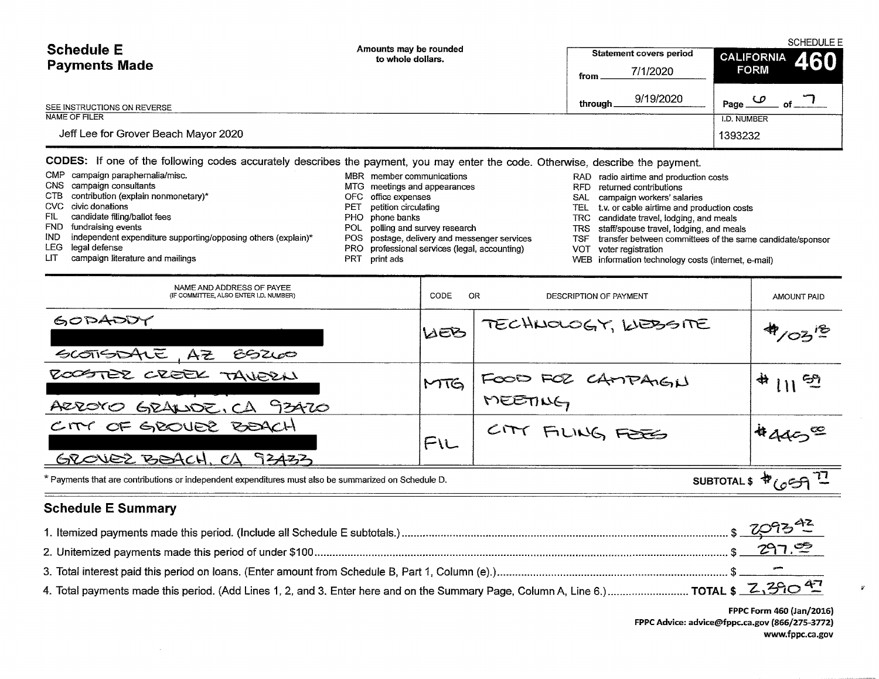| <b>Schedule E</b>                    | Amounts may be rounded<br>to whole dollars. | <b>SCHEDULE E</b><br><b>Statement covers period</b><br><b>CALIFORNIA</b> |                       |  |  |
|--------------------------------------|---------------------------------------------|--------------------------------------------------------------------------|-----------------------|--|--|
| <b>Payments Made</b>                 |                                             | 7/1/2020<br>from                                                         | 460<br><b>FORM</b>    |  |  |
| SEE INSTRUCTIONS ON REVERSE          |                                             | 9/19/2020<br>through                                                     | $\bm{\omega}$<br>Page |  |  |
| NAME OF FILER                        |                                             |                                                                          | I.D. NUMBER           |  |  |
| Jeff Lee for Grover Beach Mayor 2020 |                                             |                                                                          | 1393232               |  |  |

CODES: If one of the following codes accurately describes the payment, you may enter the code. Otherwise, describe the payment.

| CMP campaign paraphernalia/misc.                                  |     | MBR member communications                     |     | RAD radio airtime and production costs                    |
|-------------------------------------------------------------------|-----|-----------------------------------------------|-----|-----------------------------------------------------------|
| CNS campaign consultants                                          |     | MTG meetings and appearances                  |     | RFD returned contributions                                |
| CTB contribution (explain nonmonetary)*                           |     | OFC office expenses                           |     | SAL campaign workers' salaries                            |
| CVC civic donations                                               | PET | petition circulating                          |     | TEL t.v. or cable airtime and production costs            |
| FIL candidate filing/ballot fees                                  |     | PHO phone banks                               |     | TRC candidate travel, lodging, and meals                  |
| FND fundraising events                                            |     | POL polling and survey research               |     | TRS staff/spouse travel, lodging, and meals               |
| IND independent expenditure supporting/opposing others (explain)* |     | POS postage, delivery and messenger services  | TSF | transfer between committees of the same candidate/sponsor |
| LEG legal defense                                                 |     | PRO professional services (legal, accounting) |     | VOT voter registration                                    |
|                                                                   |     |                                               |     |                                                           |

LIT campaign literature and mailings

- 
- PRT print ads

WEB information technology costs (internet, e-mail)

| NAME AND ADDRESS OF PAYEE<br>(IF COMMITTEE, ALSO ENTER I.D. NUMBER)                                                                              | CODE       | OR.<br>DESCRIPTION OF PAYMENT | AMOUNT PAID |  |
|--------------------------------------------------------------------------------------------------------------------------------------------------|------------|-------------------------------|-------------|--|
| GODADDY<br>SCOTISIONE, AZ<br>89200                                                                                                               | <b>WEB</b> | TECHNOLOGY, WEBSITE           | 4/02.5      |  |
| ROOSTER CREEK TAVERN<br>AZZOYO GRALIDE, CA 93470                                                                                                 | MTG        | FOOD FOR CAMPAIGN             | 4112        |  |
| CITY OF GROUBL BEACH<br>GROVEZ BEACH, CA 93433                                                                                                   | FIL        | CITY FILING FORES             | $440^\circ$ |  |
| SUBTOTAL \$ $\sqrt[4]{659}$ <sup>T</sup><br>* Payments that are contributions or independent expenditures must also be summarized on Schedule D. |            |                               |             |  |

# **Schedule E Summary**

 $\sim$ 

| 4. Total payments made this period. (Add Lines 1, 2, and 3. Enter here and on the Summary Page, Column A, Line 6.) TOTAL \$ Z,390 47 |  |
|--------------------------------------------------------------------------------------------------------------------------------------|--|

FPPC Form 460 (Jan/2016) FPPC Advice: advice@fppc.ca.gov (866/275-3772) www.fppc.ca.gov  $\boldsymbol{y}$